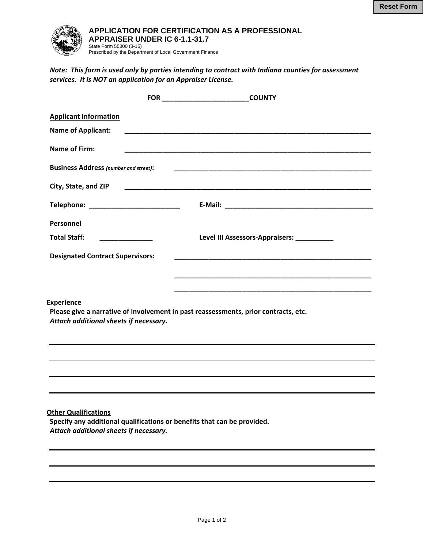

## **APPLICATION FOR CERTIFICATION AS A PROFESSIONAL APPRAISER UNDER IC 6-1.1-31.7**

*Note: This form is used only by parties intending to contract with Indiana counties for assessment services. It is NOT an application for an Appraiser License.*

|                                                                       |                 | <b>COUNTY</b>                                                                                                         |
|-----------------------------------------------------------------------|-----------------|-----------------------------------------------------------------------------------------------------------------------|
| <b>Applicant Information</b>                                          |                 |                                                                                                                       |
| <b>Name of Applicant:</b>                                             |                 |                                                                                                                       |
| <b>Name of Firm:</b>                                                  |                 | <u> 1989 - Johann John Stoff, deutscher Stoffen und der Stoffen und der Stoffen und der Stoffen und der Stoffen u</u> |
| <b>Business Address (number and street):</b>                          |                 |                                                                                                                       |
| City, State, and ZIP                                                  |                 |                                                                                                                       |
| Telephone: ____________________________                               |                 |                                                                                                                       |
| Personnel                                                             |                 |                                                                                                                       |
| <b>Total Staff:</b>                                                   | _______________ | Level III Assessors-Appraisers: __________                                                                            |
| <b>Designated Contract Supervisors:</b>                               |                 | <u> 1989 - Johann John Stone, mars eta biztanleria (h. 1989).</u>                                                     |
|                                                                       |                 |                                                                                                                       |
| <b>Experience</b><br>Attach additional sheets if necessary.           |                 | Please give a narrative of involvement in past reassessments, prior contracts, etc.                                   |
|                                                                       |                 |                                                                                                                       |
|                                                                       |                 |                                                                                                                       |
|                                                                       |                 |                                                                                                                       |
| <b>Other Qualifications</b><br>Attach additional sheets if necessary. |                 | Specify any additional qualifications or benefits that can be provided.                                               |
|                                                                       |                 |                                                                                                                       |